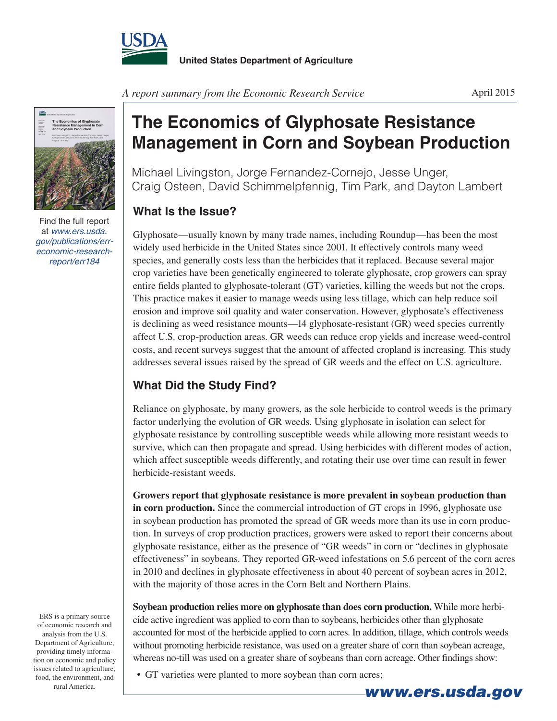

*A report summary from the Economic Research Service*



Find the full report at *www.ers.usda. gov/publications/erreconomic-researchreport/err184*

**The Economics of Glyphosate Resistance Management in Corn and Soybean Production**

Michael Livingston, Jorge Fernandez-Cornejo, Jesse Unger, Craig Osteen, David Schimmelpfennig, Tim Park, and Dayton Lambert

## **What Is the Issue?**

Glyphosate—usually known by many trade names, including Roundup—has been the most widely used herbicide in the United States since 2001. It effectively controls many weed species, and generally costs less than the herbicides that it replaced. Because several major crop varieties have been genetically engineered to tolerate glyphosate, crop growers can spray entire fields planted to glyphosate-tolerant (GT) varieties, killing the weeds but not the crops. This practice makes it easier to manage weeds using less tillage, which can help reduce soil erosion and improve soil quality and water conservation. However, glyphosate's effectiveness is declining as weed resistance mounts—14 glyphosate-resistant (GR) weed species currently affect U.S. crop-production areas. GR weeds can reduce crop yields and increase weed-control costs, and recent surveys suggest that the amount of affected cropland is increasing. This study addresses several issues raised by the spread of GR weeds and the effect on U.S. agriculture.

## **What Did the Study Find?**

Reliance on glyphosate, by many growers, as the sole herbicide to control weeds is the primary factor underlying the evolution of GR weeds. Using glyphosate in isolation can select for glyphosate resistance by controlling susceptible weeds while allowing more resistant weeds to survive, which can then propagate and spread. Using herbicides with different modes of action, which affect susceptible weeds differently, and rotating their use over time can result in fewer herbicide-resistant weeds.

**Growers report that glyphosate resistance is more prevalent in soybean production than in corn production.** Since the commercial introduction of GT crops in 1996, glyphosate use in soybean production has promoted the spread of GR weeds more than its use in corn production. In surveys of crop production practices, growers were asked to report their concerns about glyphosate resistance, either as the presence of "GR weeds" in corn or "declines in glyphosate effectiveness" in soybeans. They reported GR-weed infestations on 5.6 percent of the corn acres in 2010 and declines in glyphosate effectiveness in about 40 percent of soybean acres in 2012, with the majority of those acres in the Corn Belt and Northern Plains.

**Soybean production relies more on glyphosate than does corn production.** While more herbicide active ingredient was applied to corn than to soybeans, herbicides other than glyphosate accounted for most of the herbicide applied to corn acres. In addition, tillage, which controls weeds without promoting herbicide resistance, was used on a greater share of corn than soybean acreage, whereas no-till was used on a greater share of soybeans than corn acreage. Other findings show:

• GT varieties were planted to more soybean than corn acres;

Department of Agriculture, providing timely information on economic and policy issues related to agriculture, food, the environment, and

ERS is a primary source of economic research and analysis from the U.S.